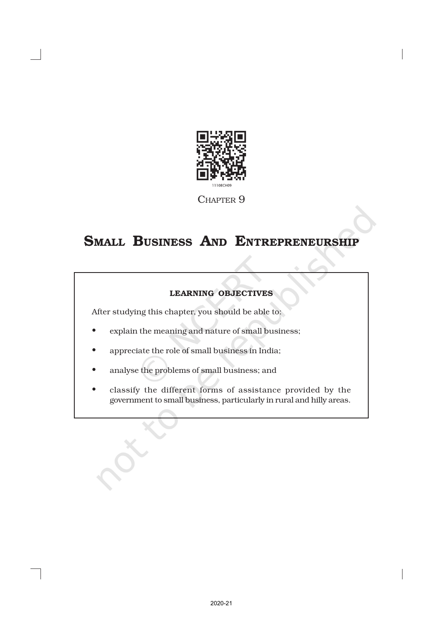

CHAPTER 9

# SMALL BUSINESS AND ENTREPRENEURSHIP

# LEARNING OBJECTIVES

After studying this chapter, you should be able to:

- explain the meaning and nature of small business;
- appreciate the role of small business in India;
- analyse the problems of small business; and
- classify the different forms of assistance provided by the government to small business, particularly in rural and hilly areas.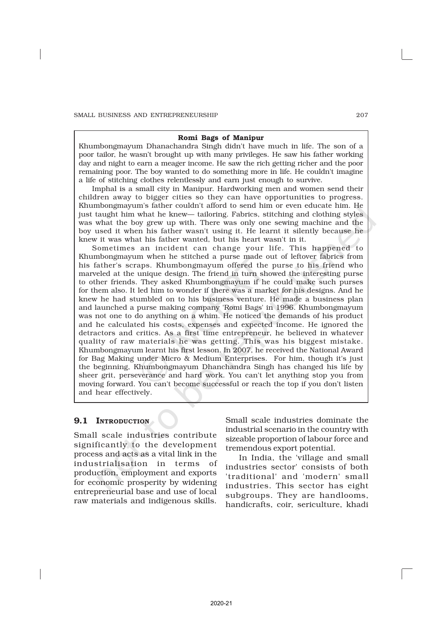#### Romi Bags of Manipur

Khumbongmayum Dhanachandra Singh didn't have much in life. The son of a poor tailor, he wasn't brought up with many privileges. He saw his father working day and night to earn a meager income. He saw the rich getting richer and the poor remaining poor. The boy wanted to do something more in life. He couldn't imagine a life of stitching clothes relentlessly and earn just enough to survive.

Imphal is a small city in Manipur. Hardworking men and women send their children away to bigger cities so they can have opportunities to progress. Khumbongmayum's father couldn't afford to send him or even educate him. He just taught him what he knew— tailoring. Fabrics, stitching and clothing styles was what the boy grew up with. There was only one sewing machine and the boy used it when his father wasn't using it. He learnt it silently because he knew it was what his father wanted, but his heart wasn't in it.

Sometimes an incident can change your life. This happened to Khumbongmayum when he stitched a purse made out of leftover fabrics from his father's scraps. Khumbongmayum offered the purse to his friend who marveled at the unique design. The friend in turn showed the interesting purse to other friends. They asked Khumbongmayum if he could make such purses for them also. It led him to wonder if there was a market for his designs. And he knew he had stumbled on to his business venture. He made a business plan and launched a purse making company 'Romi Bags' in 1996. Khumbongmayum was not one to do anything on a whim. He noticed the demands of his product and he calculated his costs, expenses and expected income. He ignored the detractors and critics. As a first time entrepreneur, he believed in whatever quality of raw materials he was getting. This was his biggest mistake. Khumbongmayum learnt his first lesson. In 2007, he received the National Award for Bag Making under Micro & Medium Enterprises. For him, though it's just the beginning, Khumbongmayum Dhanchandra Singh has changed his life by sheer grit, perseverance and hard work. You can't let anything stop you from moving forward. You can't become successful or reach the top if you don't listen and hear effectively.

### 9.1 INTRODUCTION

Small scale industries contribute significantly to the development process and acts as a vital link in the industrialisation in terms of production, employment and exports for economic prosperity by widening entrepreneurial base and use of local raw materials and indigenous skills.

Small scale industries dominate the industrial scenario in the country with sizeable proportion of labour force and tremendous export potential.

In India, the 'village and small industries sector' consists of both 'traditional' and 'modern' small industries. This sector has eight subgroups. They are handlooms, handicrafts, coir, sericulture, khadi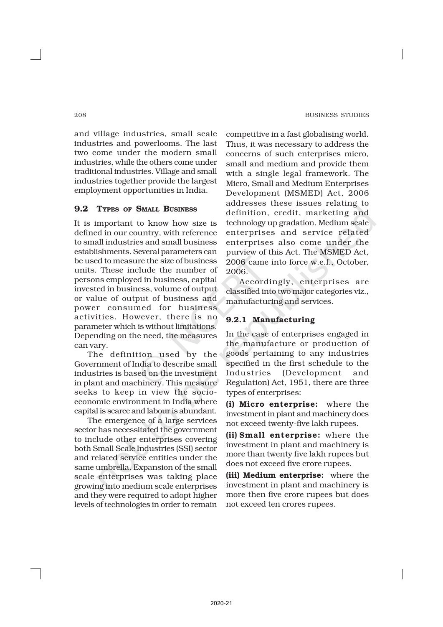and village industries, small scale industries and powerlooms. The last two come under the modern small industries, while the others come under traditional industries. Village and small industries together provide the largest employment opportunities in India.

### 9.2 TYPES OF SMALL BUSINESS

It is important to know how size is defined in our country, with reference to small industries and small business establishments. Several parameters can be used to measure the size of business units. These include the number of persons employed in business, capital invested in business, volume of output or value of output of business and power consumed for business activities. However, there is no parameter which is without limitations. Depending on the need, the measures can vary.

The definition used by the Government of India to describe small industries is based on the investment in plant and machinery. This measure seeks to keep in view the socioeconomic environment in India where capital is scarce and labour is abundant.

The emergence of a large services sector has necessitated the government to include other enterprises covering both Small Scale Industries (SSI) sector and related service entities under the same umbrella. Expansion of the small scale enterprises was taking place growing into medium scale enterprises and they were required to adopt higher levels of technologies in order to remain

competitive in a fast globalising world. Thus, it was necessary to address the concerns of such enterprises micro, small and medium and provide them with a single legal framework. The Micro, Small and Medium Enterprises Development (MSMED) Act, 2006 addresses these issues relating to definition, credit, marketing and technology up gradation. Medium scale enterprises and service related enterprises also come under the purview of this Act. The MSMED Act, 2006 came into force w.e.f., October, 2006.

Accordingly, enterprises are classified into two major categories viz., manufacturing and services.

#### 9.2.1 Manufacturing

In the case of enterprises engaged in the manufacture or production of goods pertaining to any industries specified in the first schedule to the Industries (Development and Regulation) Act, 1951, there are three types of enterprises:

(i) Micro enterprise: where the investment in plant and machinery does not exceed twenty-five lakh rupees.

(ii) Small enterprise: where the investment in plant and machinery is more than twenty five lakh rupees but does not exceed five crore rupees.

(iii) Medium enterprise: where the investment in plant and machinery is more then five crore rupees but does not exceed ten crores rupees.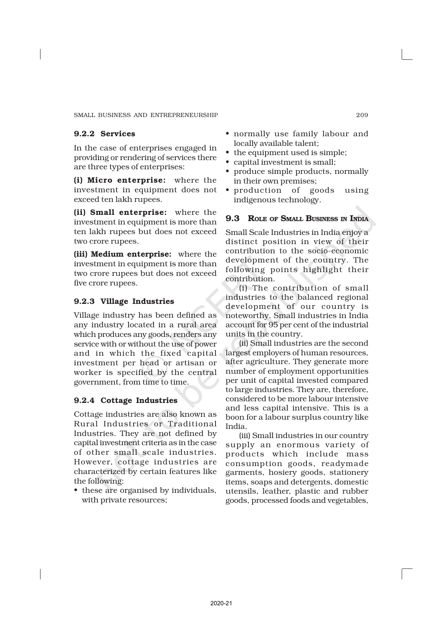#### 9.2.2 Services

In the case of enterprises engaged in providing or rendering of services there are three types of enterprises:

(i) Micro enterprise: where the investment in equipment does not exceed ten lakh rupees.

(ii) Small enterprise: where the investment in equipment is more than ten lakh rupees but does not exceed two crore rupees.

(iii) Medium enterprise: where the investment in equipment is more than two crore rupees but does not exceed five crore rupees.

# 9.2.3 Village Industries

Village industry has been defined as any industry located in a rural area which produces any goods, renders any service with or without the use of power and in which the fixed capital investment per head or artisan or worker is specified by the central government, from time to time.

# 9.2.4 Cottage Industries

Cottage industries are also known as Rural Industries or Traditional Industries. They are not defined by capital investment criteria as in the case of other small scale industries. However, cottage industries are characterized by certain features like the following:

• these are organised by individuals, with private resources;

- normally use family labour and locally available talent;
- the equipment used is simple;
- capital investment is small;
- produce simple products, normally in their own premises;
- production of goods using indigenous technology.

### 9.3 ROLE OF SMALL BUSINESS IN INDIA

Small Scale Industries in India enjoy a distinct position in view of their contribution to the socio-economic development of the country. The following points highlight their contribution.

(i) The contribution of small industries to the balanced regional development of our country is noteworthy. Small industries in India account for 95 per cent of the industrial units in the country.

(ii) Small industries are the second largest employers of human resources, after agriculture. They generate more number of employment opportunities per unit of capital invested compared to large industries. They are, therefore, considered to be more labour intensive and less capital intensive. This is a boon for a labour surplus country like India.

(iii) Small industries in our country supply an enormous variety of products which include mass consumption goods, readymade garments, hosiery goods, stationery items, soaps and detergents, domestic utensils, leather, plastic and rubber goods, processed foods and vegetables,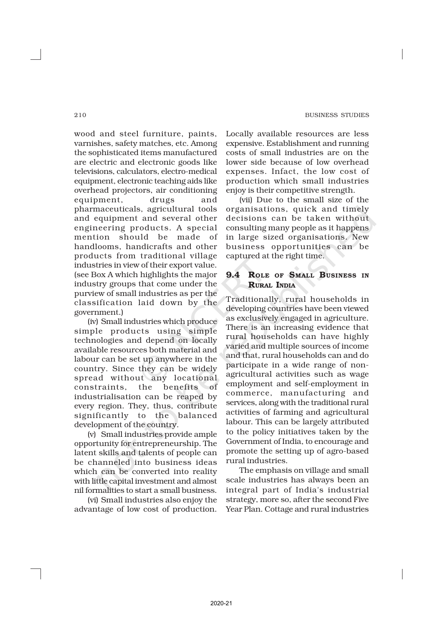wood and steel furniture, paints, varnishes, safety matches, etc. Among the sophisticated items manufactured are electric and electronic goods like televisions, calculators, electro-medical equipment, electronic teaching aids like overhead projectors, air conditioning equipment, drugs and pharmaceuticals, agricultural tools and equipment and several other engineering products. A special mention should be made of handlooms, handicrafts and other products from traditional village industries in view of their export value. (see Box A which highlights the major industry groups that come under the purview of small industries as per the classification laid down by the government.)

(iv) Small industries which produce simple products using simple technologies and depend on locally available resources both material and labour can be set up anywhere in the country. Since they can be widely spread without any locational constraints, the benefits of industrialisation can be reaped by every region. They, thus, contribute significantly to the balanced development of the country.

(v) Small industries provide ample opportunity for entrepreneurship. The latent skills and talents of people can be channeled into business ideas which can be converted into reality with little capital investment and almost nil formalities to start a small business.

(vi) Small industries also enjoy the advantage of low cost of production. Locally available resources are less expensive. Establishment and running costs of small industries are on the lower side because of low overhead expenses. Infact, the low cost of production which small industries enjoy is their competitive strength.

(vii) Due to the small size of the organisations, quick and timely decisions can be taken without consulting many people as it happens in large sized organisations. New business opportunities can be captured at the right time.

#### 9.4 ROLE OF SMALL BUSINESS IN RURAL INDIA

Traditionally, rural households in developing countries have been viewed as exclusively engaged in agriculture. There is an increasing evidence that rural households can have highly varied and multiple sources of income and that, rural households can and do participate in a wide range of nonagricultural activities such as wage employment and self-employment in commerce, manufacturing and services, along with the traditional rural activities of farming and agricultural labour. This can be largely attributed to the policy initiatives taken by the Government of India, to encourage and promote the setting up of agro-based rural industries.

The emphasis on village and small scale industries has always been an integral part of India's industrial strategy, more so, after the second Five Year Plan. Cottage and rural industries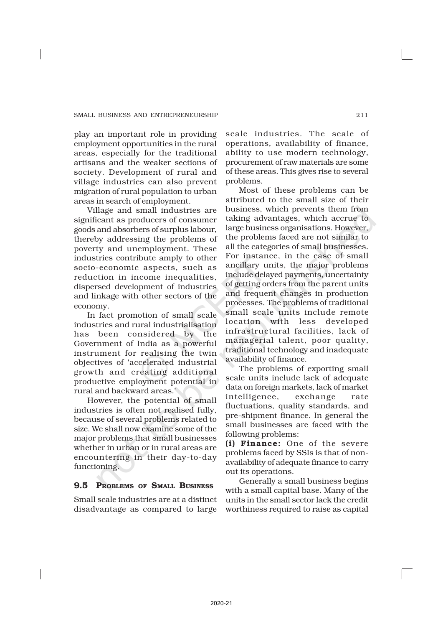play an important role in providing employment opportunities in the rural areas, especially for the traditional artisans and the weaker sections of society. Development of rural and village industries can also prevent migration of rural population to urban areas in search of employment.

Village and small industries are significant as producers of consumer goods and absorbers of surplus labour, thereby addressing the problems of poverty and unemployment. These industries contribute amply to other socio-economic aspects, such as reduction in income inequalities, dispersed development of industries and linkage with other sectors of the economy.

In fact promotion of small scale industries and rural industrialisation has been considered by the Government of India as a powerful instrument for realising the twin objectives of 'accelerated industrial growth and creating additional productive employment potential in rural and backward areas.'

However, the potential of small industries is often not realised fully, because of several problems related to size. We shall now examine some of the major problems that small businesses whether in urban or in rural areas are encountering in their day-to-day functioning.

#### 9.5 PROBLEMS OF SMALL BUSINESS

Small scale industries are at a distinct disadvantage as compared to large

scale industries. The scale of operations, availability of finance, ability to use modern technology, procurement of raw materials are some of these areas. This gives rise to several problems.

Most of these problems can be attributed to the small size of their business, which prevents them from taking advantages, which accrue to large business organisations. However, the problems faced are not similar to all the categories of small businesses. For instance, in the case of small ancillary units, the major problems include delayed payments, uncertainty of getting orders from the parent units and frequent changes in production processes. The problems of traditional small scale units include remote location with less developed infrastructural facilities, lack of managerial talent, poor quality, traditional technology and inadequate availability of finance.

The problems of exporting small scale units include lack of adequate data on foreign markets, lack of market intelligence, exchange rate fluctuations, quality standards, and pre-shipment finance. In general the small businesses are faced with the following problems:

(i) Finance: One of the severe problems faced by SSIs is that of nonavailability of adequate finance to carry out its operations.

Generally a small business begins with a small capital base. Many of the units in the small sector lack the credit worthiness required to raise as capital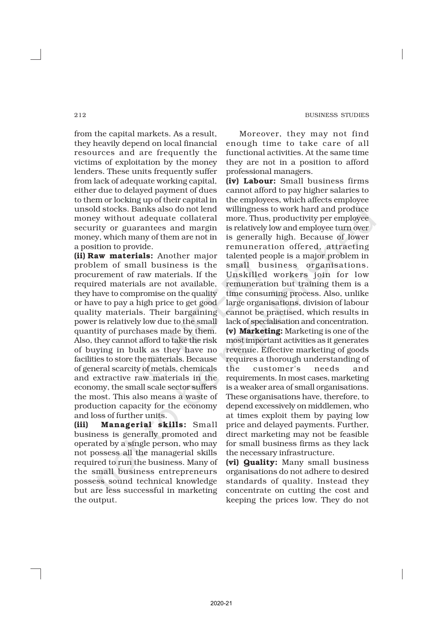from the capital markets. As a result, they heavily depend on local financial resources and are frequently the victims of exploitation by the money lenders. These units frequently suffer from lack of adequate working capital, either due to delayed payment of dues to them or locking up of their capital in unsold stocks. Banks also do not lend money without adequate collateral security or guarantees and margin money, which many of them are not in a position to provide.

(ii) Raw materials: Another major problem of small business is the procurement of raw materials. If the required materials are not available, they have to compromise on the quality or have to pay a high price to get good quality materials. Their bargaining power is relatively low due to the small quantity of purchases made by them. Also, they cannot afford to take the risk of buying in bulk as they have no facilities to store the materials. Because of general scarcity of metals, chemicals and extractive raw materials in the economy, the small scale sector suffers the most. This also means a waste of production capacity for the economy and loss of further units.

(iii) Managerial skills: Small business is generally promoted and operated by a single person, who may not possess all the managerial skills required to run the business. Many of the small business entrepreneurs possess sound technical knowledge but are less successful in marketing the output.

Moreover, they may not find enough time to take care of all functional activities. At the same time they are not in a position to afford professional managers.

(iv) Labour: Small business firms cannot afford to pay higher salaries to the employees, which affects employee willingness to work hard and produce more. Thus, productivity per employee is relatively low and employee turn over is generally high. Because of lower remuneration offered, attracting talented people is a major problem in small business organisations. Unskilled workers join for low remuneration but training them is a time consuming process. Also, unlike large organisations, division of labour cannot be practised, which results in lack of specialisation and concentration. (v) Marketing: Marketing is one of the most important activities as it generates revenue. Effective marketing of goods requires a thorough understanding of the customer's needs and requirements. In most cases, marketing is a weaker area of small organisations. These organisations have, therefore, to depend excessively on middlemen, who at times exploit them by paying low price and delayed payments. Further, direct marketing may not be feasible for small business firms as they lack the necessary infrastructure.

(vi) Quality: Many small business organisations do not adhere to desired standards of quality. Instead they concentrate on cutting the cost and keeping the prices low. They do not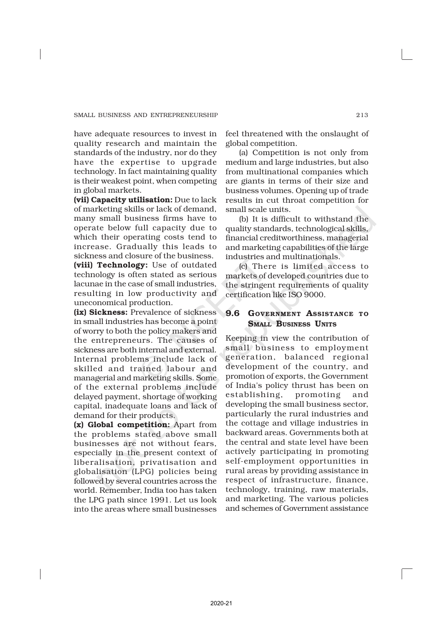have adequate resources to invest in quality research and maintain the standards of the industry, nor do they have the expertise to upgrade technology. In fact maintaining quality is their weakest point, when competing in global markets.

(vii) Capacity utilisation: Due to lack of marketing skills or lack of demand, many small business firms have to operate below full capacity due to which their operating costs tend to increase. Gradually this leads to sickness and closure of the business. (viii) Technology: Use of outdated technology is often stated as serious lacunae in the case of small industries, resulting in low productivity and uneconomical production.

(ix) Sickness: Prevalence of sickness in small industries has become a point of worry to both the policy makers and the entrepreneurs. The causes of sickness are both internal and external. Internal problems include lack of skilled and trained labour and managerial and marketing skills. Some of the external problems include delayed payment, shortage of working capital, inadequate loans and lack of demand for their products.

(x) Global competition: Apart from the problems stated above small businesses are not without fears, especially in the present context of liberalisation, privatisation and globalisation (LPG) policies being followed by several countries across the world. Remember, India too has taken the LPG path since 1991. Let us look into the areas where small businesses

feel threatened with the onslaught of global competition.

(a) Competition is not only from medium and large industries, but also from multinational companies which are giants in terms of their size and business volumes. Opening up of trade results in cut throat competition for small scale units.

(b) It is difficult to withstand the quality standards, technological skills, financial creditworthiness, managerial and marketing capabilities of the large industries and multinationals.

(c) There is limited access to markets of developed countries due to the stringent requirements of quality certification like ISO 9000.

### 9.6 GOVERNMENT ASSISTANCE TO SMALL BUSINESS UNITS

Keeping in view the contribution of small business to employment generation, balanced regional development of the country, and promotion of exports, the Government of India's policy thrust has been on establishing, promoting and developing the small business sector, particularly the rural industries and the cottage and village industries in backward areas. Governments both at the central and state level have been actively participating in promoting self-employment opportunities in rural areas by providing assistance in respect of infrastructure, finance, technology, training, raw materials, and marketing. The various policies and schemes of Government assistance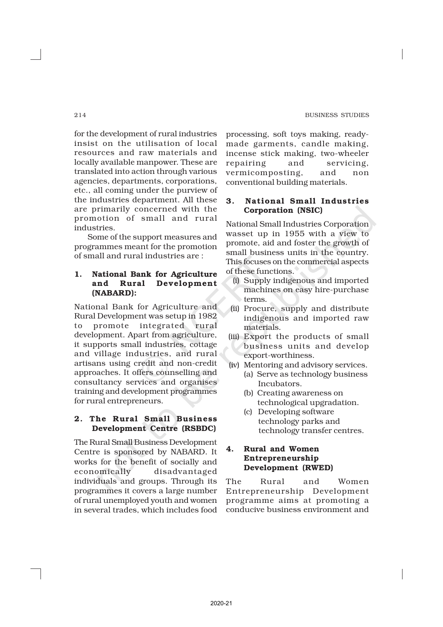for the development of rural industries insist on the utilisation of local resources and raw materials and locally available manpower. These are translated into action through various agencies, departments, corporations, etc., all coming under the purview of the industries department. All these are primarily concerned with the promotion of small and rural industries.

Some of the support measures and programmes meant for the promotion of small and rural industries are :

#### 1. National Bank for Agriculture and Rural Development (NABARD):

National Bank for Agriculture and Rural Development was setup in 1982 to promote integrated rural development. Apart from agriculture, it supports small industries, cottage and village industries, and rural artisans using credit and non-credit approaches. It offers counselling and consultancy services and organises training and development programmes for rural entrepreneurs.

# 2. The Rural Small Business Development Centre (RSBDC)

The Rural Small Business Development Centre is sponsored by NABARD. It works for the benefit of socially and economically disadvantaged individuals and groups. Through its programmes it covers a large number of rural unemployed youth and women in several trades, which includes food

processing, soft toys making, readymade garments, candle making, incense stick making, two-wheeler repairing and servicing, vermicomposting, and non conventional building materials.

# 3. National Small Industries Corporation (NSIC)

National Small Industries Corporation wasset up in 1955 with a view to promote, aid and foster the growth of small business units in the country. This focuses on the commercial aspects of these functions.

- (i) Supply indigenous and imported machines on easy hire-purchase terms.
- (ii) Procure, supply and distribute indigenous and imported raw materials.
- (iii) Export the products of small business units and develop export-worthiness.
- (iv) Mentoring and advisory services.
	- (a) Serve as technology business Incubators.
		- (b) Creating awareness on technological upgradation.
		- (c) Developing software technology parks and technology transfer centres.

# 4. Rural and Women Entrepreneurship Development (RWED)

The Rural and Women Entrepreneurship Development programme aims at promoting a conducive business environment and

2020-21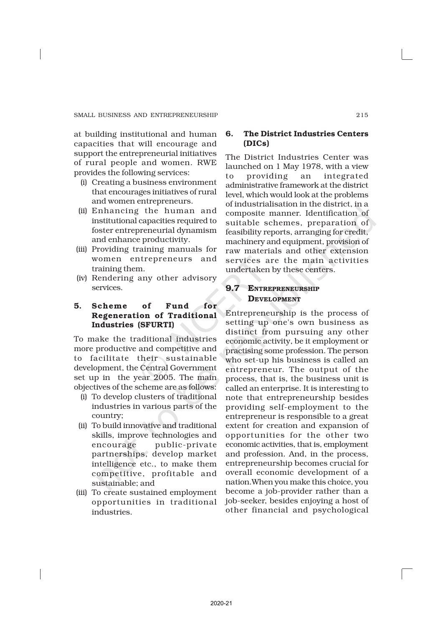at building institutional and human capacities that will encourage and support the entrepreneurial initiatives of rural people and women. RWE provides the following services:

- (i) Creating a business environment that encourages initiatives of rural and women entrepreneurs.
- (ii) Enhancing the human and institutional capacities required to foster entrepreneurial dynamism and enhance productivity.
- (iii) Providing training manuals for women entrepreneurs and training them.
- (iv) Rendering any other advisory services.

# 5. Scheme of Fund for Regeneration of Traditional Industries (SFURTI)

To make the traditional industries more productive and competitive and to facilitate their sustainable development, the Central Government set up in the year 2005. The main objectives of the scheme are as follows:

- (i) To develop clusters of traditional industries in various parts of the country;
- (ii) To build innovative and traditional skills, improve technologies and encourage public-private partnerships, develop market intelligence etc., to make them competitive, profitable and sustainable; and
- (iii) To create sustained employment opportunities in traditional industries.

# 6. The District Industries Centers (DICs)

The District Industries Center was launched on 1 May 1978, with a view to providing an integrated administrative framework at the district level, which would look at the problems of industrialisation in the district, in a composite manner. Identification of suitable schemes, preparation of feasibility reports, arranging for credit, machinery and equipment, provision of raw materials and other extension services are the main activities undertaken by these centers.

# 9.7 ENTREPRENEURSHIP DEVELOPMENT

Entrepreneurship is the process of setting up one's own business as distinct from pursuing any other economic activity, be it employment or practising some profession. The person who set-up his business is called an entrepreneur. The output of the process, that is, the business unit is called an enterprise. It is interesting to note that entrepreneurship besides providing self-employment to the entrepreneur is responsible to a great extent for creation and expansion of opportunities for the other two economic activities, that is, employment and profession. And, in the process, entrepreneurship becomes crucial for overall economic development of a nation.When you make this choice, you become a job-provider rather than a job-seeker, besides enjoying a host of other financial and psychological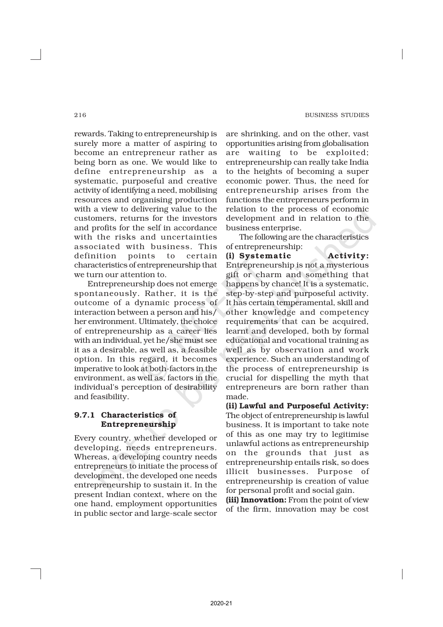rewards. Taking to entrepreneurship is surely more a matter of aspiring to become an entrepreneur rather as being born as one. We would like to define entrepreneurship as a systematic, purposeful and creative activity of identifying a need, mobilising resources and organising production with a view to delivering value to the customers, returns for the investors and profits for the self in accordance with the risks and uncertainties associated with business. This definition points to certain characteristics of entrepreneurship that we turn our attention to.

Entrepreneurship does not emerge spontaneously. Rather, it is the outcome of a dynamic process of interaction between a person and his/ her environment. Ultimately, the choice of entrepreneurship as a career lies with an individual, yet he/she must see it as a desirable, as well as, a feasible option. In this regard, it becomes imperative to look at both-factors in the environment, as well as, factors in the individual's perception of desirability and feasibility.

# 9.7.1 Characteristics of Entrepreneurship

Every country, whether developed or developing, needs entrepreneurs. Whereas, a developing country needs entrepreneurs to initiate the process of development, the developed one needs entrepreneurship to sustain it. In the present Indian context, where on the one hand, employment opportunities in public sector and large-scale sector

are shrinking, and on the other, vast opportunities arising from globalisation are waiting to be exploited; entrepreneurship can really take India to the heights of becoming a super economic power. Thus, the need for entrepreneurship arises from the functions the entrepreneurs perform in relation to the process of economic development and in relation to the business enterprise.

The following are the characteristics of entrepreneurship:

(i) Systematic Activity:

Entrepreneurship is not a mysterious gift or charm and something that happens by chance! It is a systematic, step-by-step and purposeful activity. It has certain temperamental, skill and other knowledge and competency requirements that can be acquired, learnt and developed, both by formal educational and vocational training as well as by observation and work experience. Such an understanding of the process of entrepreneurship is crucial for dispelling the myth that entrepreneurs are born rather than made.

(ii) Lawful and Purposeful Activity: The object of entrepreneurship is lawful business. It is important to take note of this as one may try to legitimise unlawful actions as entrepreneurship on the grounds that just as entrepreneurship entails risk, so does illicit businesses. Purpose of entrepreneurship is creation of value for personal profit and social gain.

(iii) Innovation: From the point of view of the firm, innovation may be cost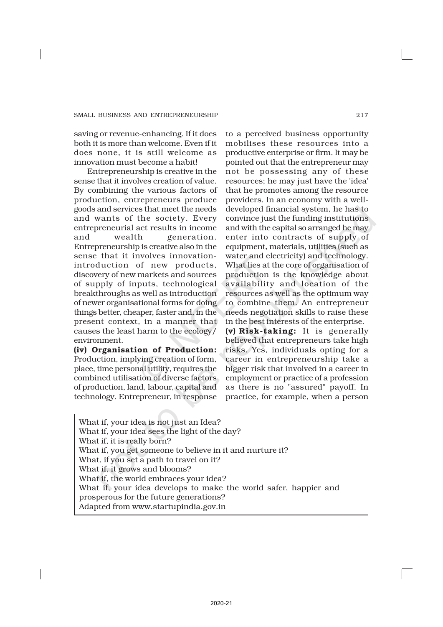saving or revenue-enhancing. If it does both it is more than welcome. Even if it does none, it is still welcome as innovation must become a habit!

Entrepreneurship is creative in the sense that it involves creation of value. By combining the various factors of production, entrepreneurs produce goods and services that meet the needs and wants of the society. Every entrepreneurial act results in income and wealth generation. Entrepreneurship is creative also in the sense that it involves innovationintroduction of new products, discovery of new markets and sources of supply of inputs, technological breakthroughs as well as introduction of newer organisational forms for doing things better, cheaper, faster and, in the present context, in a manner that causes the least harm to the ecology/ environment.

(iv) Organisation of Production: Production, implying creation of form, place, time personal utility, requires the combined utilisation of diverse factors of production, land, labour, capital and technology. Entrepreneur, in response

to a perceived business opportunity mobilises these resources into a productive enterprise or firm. It may be pointed out that the entrepreneur may not be possessing any of these resources; he may just have the 'idea' that he promotes among the resource providers. In an economy with a welldeveloped financial system, he has to convince just the funding institutions and with the capital so arranged he may enter into contracts of supply of equipment, materials, utilities (such as water and electricity) and technology. What lies at the core of organisation of production is the knowledge about availability and location of the resources as well as the optimum way to combine them. An entrepreneur needs negotiation skills to raise these in the best interests of the enterprise.

(v) Risk-taking: It is generally believed that entrepreneurs take high risks. Yes, individuals opting for a career in entrepreneurship take a bigger risk that involved in a career in employment or practice of a profession as there is no "assured" payoff. In practice, for example, when a person

What if, your idea is not just an Idea? What if, your idea sees the light of the day? What if, it is really born? What if, you get someone to believe in it and nurture it? What, if you set a path to travel on it? What if, it grows and blooms? What if, the world embraces your idea? What if, your idea develops to make the world safer, happier and prosperous for the future generations? Adapted from www.startupindia.gov.in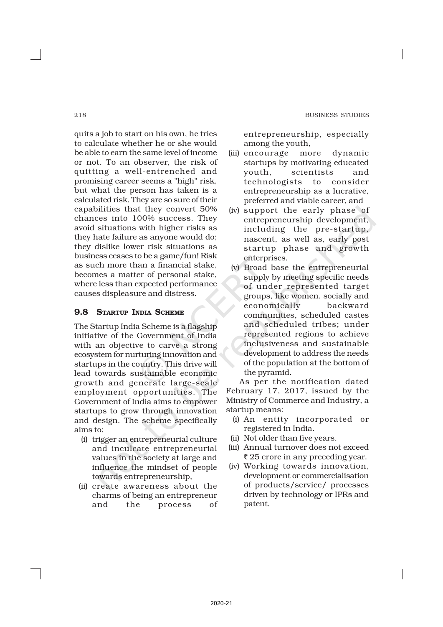quits a job to start on his own, he tries to calculate whether he or she would be able to earn the same level of income or not. To an observer, the risk of quitting a well-entrenched and promising career seems a "high" risk, but what the person has taken is a calculated risk. They are so sure of their capabilities that they convert 50% chances into 100% success. They avoid situations with higher risks as they hate failure as anyone would do; they dislike lower risk situations as business ceases to be a game/fun! Risk as such more than a financial stake, becomes a matter of personal stake, where less than expected performance causes displeasure and distress.

#### 9.8 STARTUP INDIA SCHEME

The Startup India Scheme is a flagship initiative of the Government of India with an objective to carve a strong ecosystem for nurturing innovation and startups in the country. This drive will lead towards sustainable economic growth and generate large-scale employment opportunities. The Government of India aims to empower startups to grow through innovation and design. The scheme specifically aims to:

- (i) trigger an entrepreneurial culture and inculcate entrepreneurial values in the society at large and influence the mindset of people towards entrepreneurship,
- (ii) create awareness about the charms of being an entrepreneur and the process of

entrepreneurship, especially among the youth,

- (iii) encourage more dynamic startups by motivating educated youth, scientists and technologists to consider entrepreneurship as a lucrative, preferred and viable career, and
- (iv) support the early phase of entrepreneurship development, including the pre-startup, nascent, as well as, early post startup phase and growth enterprises.
- (v) Broad base the entrepreneurial supply by meeting specific needs of under represented target groups, like women, socially and economically backward communities, scheduled castes and scheduled tribes; under represented regions to achieve inclusiveness and sustainable development to address the needs of the population at the bottom of the pyramid.

As per the notification dated February 17, 2017, issued by the Ministry of Commerce and Industry, a startup means:

- (i) An entity incorporated or registered in India.
- (ii) Not older than five years.
- (iii) Annual turnover does not exceed  $\bar{\tau}$  25 crore in any preceding year.
- (iv) Working towards innovation, development or commercialisation of products/service/ processes driven by technology or IPRs and patent.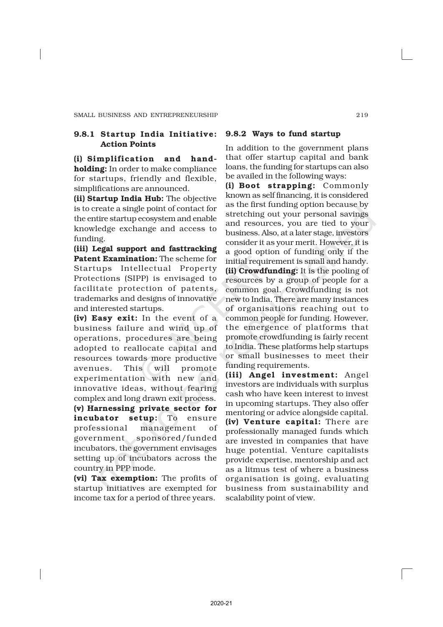#### 9.8.1 Startup India Initiative: Action Points

(i) Simplification and handholding: In order to make compliance for startups, friendly and flexible, simplifications are announced.

(ii) Startup India Hub: The objective is to create a single point of contact for the entire startup ecosystem and enable knowledge exchange and access to funding.

(iii) Legal support and fasttracking Patent Examination: The scheme for Startups Intellectual Property Protections (SIPP) is envisaged to facilitate protection of patents, trademarks and designs of innovative and interested startups.

(iv) Easy exit: In the event of a business failure and wind up of operations, procedures are being adopted to reallocate capital and resources towards more productive avenues. This will promote experimentation with new and innovative ideas, without fearing complex and long drawn exit process. (v) Harnessing private sector for incubator setup: To ensure professional management of government sponsored/funded incubators, the government envisages setting up of incubators across the country in PPP mode.

(vi) Tax exemption: The profits of startup initiatives are exempted for income tax for a period of three years.

# 9.8.2 Ways to fund startup

In addition to the government plans that offer startup capital and bank loans, the funding for startups can also be availed in the following ways:

(i) Boot strapping: Commonly known as self financing, it is considered as the first funding option because by stretching out your personal savings and resources, you are tied to your business. Also, at a later stage, investors consider it as your merit. However, it is a good option of funding only if the initial requirement is small and handy. (ii) Crowdfunding: It is the pooling of resources by a group of people for a common goal. Crowdfunding is not new to India. There are many instances of organisations reaching out to common people for funding. However, the emergence of platforms that promote crowdfunding is fairly recent to India. These platforms help startups or small businesses to meet their funding requirements.

(iii) Angel investment: Angel investors are individuals with surplus cash who have keen interest to invest in upcoming startups. They also offer mentoring or advice alongside capital. (iv) Venture capital: There are professionally managed funds which are invested in companies that have huge potential. Venture capitalists provide expertise, mentorship and act as a litmus test of where a business organisation is going, evaluating business from sustainability and scalability point of view.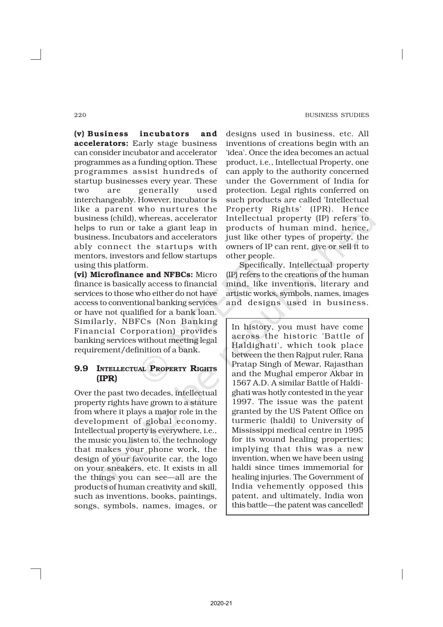(v) Business incubators and accelerators: Early stage business can consider incubator and accelerator programmes as a funding option. These programmes assist hundreds of startup businesses every year. These two are generally used interchangeably. However, incubator is like a parent who nurtures the business (child), whereas, accelerator helps to run or take a giant leap in business. Incubators and accelerators ably connect the startups with mentors, investors and fellow startups using this platform.

(vi) Microfinance and NFBCs: Micro finance is basically access to financial services to those who either do not have access to conventional banking services or have not qualified for a bank loan. Similarly, NBFCs (Non Banking Financial Corporation) provides banking services without meeting legal requirement/definition of a bank.

# 9.9 INTELLECTUAL PROPERTY RIGHTS (IPR)

Over the past two decades, intellectual property rights have grown to a stature from where it plays a major role in the development of global economy. Intellectual property is everywhere, i.e., the music you listen to, the technology that makes your phone work, the design of your favourite car, the logo on your sneakers, etc. It exists in all the things you can see—all are the products of human creativity and skill, such as inventions, books, paintings, songs, symbols, names, images, or

designs used in business, etc. All inventions of creations begin with an 'idea'. Once the idea becomes an actual product, i.e., Intellectual Property, one can apply to the authority concerned under the Government of India for protection. Legal rights conferred on such products are called 'Intellectual Property Rights' (IPR). Hence Intellectual property (IP) refers to products of human mind, hence, just like other types of property, the owners of IP can rent, give or sell it to other people.

Specifically, Intellectual property (IP) refers to the creations of the human mind, like inventions, literary and artistic works, symbols, names, images and designs used in business.

In history, you must have come across the historic 'Battle of Haldighati', which took place between the then Rajput ruler, Rana Pratap Singh of Mewar, Rajasthan and the Mughal emperor Akbar in 1567 A.D. A similar Battle of Haldighati was hotly contested in the year 1997. The issue was the patent granted by the US Patent Office on turmeric (haldi) to University of Mississippi medical centre in 1995 for its wound healing properties; implying that this was a new invention, when we have been using haldi since times immemorial for healing injuries. The Government of India vehemently opposed this patent, and ultimately, India won this battle—the patent was cancelled!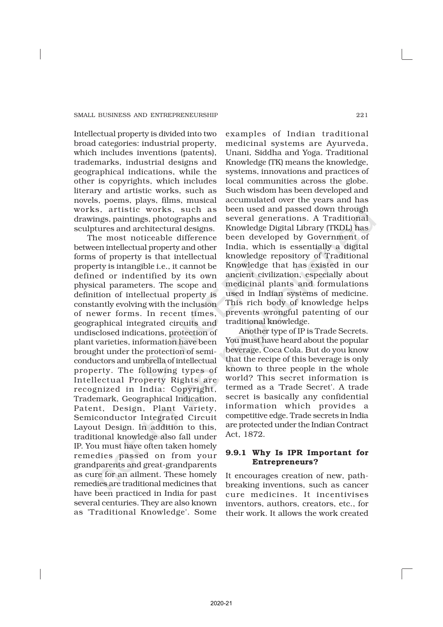Intellectual property is divided into two broad categories: industrial property, which includes inventions (patents), trademarks, industrial designs and geographical indications, while the other is copyrights, which includes literary and artistic works, such as novels, poems, plays, films, musical works, artistic works, such as drawings, paintings, photographs and sculptures and architectural designs.

The most noticeable difference between intellectual property and other forms of property is that intellectual property is intangible i.e., it cannot be defined or indentified by its own physical parameters. The scope and definition of intellectual property is constantly evolving with the inclusion of newer forms. In recent times, geographical integrated circuits and undisclosed indications, protection of plant varieties, information have been brought under the protection of semiconductors and umbrella of intellectual property. The following types of Intellectual Property Rights are recognized in India: Copyright, Trademark, Geographical Indication, Patent, Design, Plant Variety, Semiconductor Integrated Circuit Layout Design. In addition to this, traditional knowledge also fall under IP. You must have often taken homely remedies passed on from your grandparents and great-grandparents as cure for an ailment. These homely remedies are traditional medicines that have been practiced in India for past several centuries. They are also known as 'Traditional Knowledge'. Some

examples of Indian traditional medicinal systems are Ayurveda, Unani, Siddha and Yoga. Traditional Knowledge (TK) means the knowledge, systems, innovations and practices of local communities across the globe. Such wisdom has been developed and accumulated over the years and has been used and passed down through several generations. A Traditional Knowledge Digital Library (TKDL) has been developed by Government of India, which is essentially a digital knowledge repository of Traditional Knowledge that has existed in our ancient civilization, especially about medicinal plants and formulations used in Indian systems of medicine. This rich body of knowledge helps prevents wrongful patenting of our traditional knowledge.

Another type of IP is Trade Secrets. You must have heard about the popular beverage, Coca Cola. But do you know that the recipe of this beverage is only known to three people in the whole world? This secret information is termed as a 'Trade Secret'. A trade secret is basically any confidential information which provides a competitive edge. Trade secrets in India are protected under the Indian Contract Act, 1872.

#### 9.9.1 Why Is IPR Important for Entrepreneurs?

It encourages creation of new, pathbreaking inventions, such as cancer cure medicines. It incentivises inventors, authors, creators, etc., for their work. It allows the work created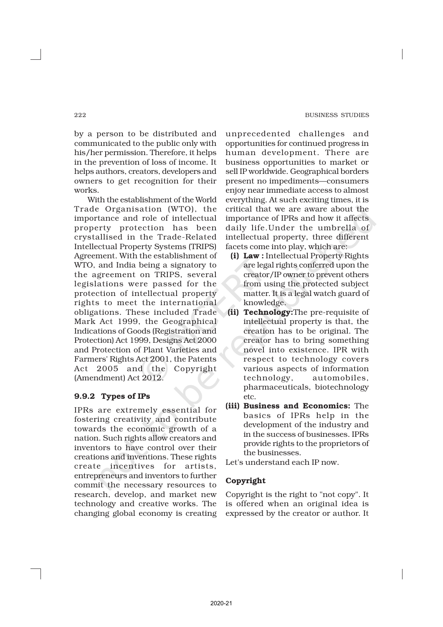by a person to be distributed and communicated to the public only with his/her permission. Therefore, it helps in the prevention of loss of income. It helps authors, creators, developers and owners to get recognition for their works.

With the establishment of the World Trade Organisation (WTO), the importance and role of intellectual property protection has been crystallised in the Trade-Related Intellectual Property Systems (TRIPS) Agreement. With the establishment of WTO, and India being a signatory to the agreement on TRIPS, several legislations were passed for the protection of intellectual property rights to meet the international obligations. These included Trade Mark Act 1999, the Geographical Indications of Goods (Registration and Protection) Act 1999, Designs Act 2000 and Protection of Plant Varieties and Farmers' Rights Act 2001, the Patents Act 2005 and the Copyright (Amendment) Act 2012.

#### 9.9.2 Types of IPs

IPRs are extremely essential for fostering creativity and contribute towards the economic growth of a nation. Such rights allow creators and inventors to have control over their creations and inventions. These rights create incentives for artists, entrepreneurs and inventors to further commit the necessary resources to research, develop, and market new technology and creative works. The changing global economy is creating

unprecedented challenges and opportunities for continued progress in human development. There are business opportunities to market or sell IP worldwide. Geographical borders present no impediments—consumers enjoy near immediate access to almost everything. At such exciting times, it is critical that we are aware about the importance of IPRs and how it affects daily life.Under the umbrella of intellectual property, three different facets come into play, which are:

- (i) Law : Intellectual Property Rights are legal rights conferred upon the creator/IP owner to prevent others from using the protected subject matter. It is a legal watch guard of knowledge.
- (ii) Technology: The pre-requisite of intellectual property is that, the creation has to be original. The creator has to bring something novel into existence. IPR with respect to technology covers various aspects of information technology, automobiles, pharmaceuticals, biotechnology etc.
- (iii) Business and Economics: The basics of IPRs help in the development of the industry and in the success of businesses. IPRs provide rights to the proprietors of the businesses.

Let's understand each IP now.

#### Copyright

Copyright is the right to "not copy". It is offered when an original idea is expressed by the creator or author. It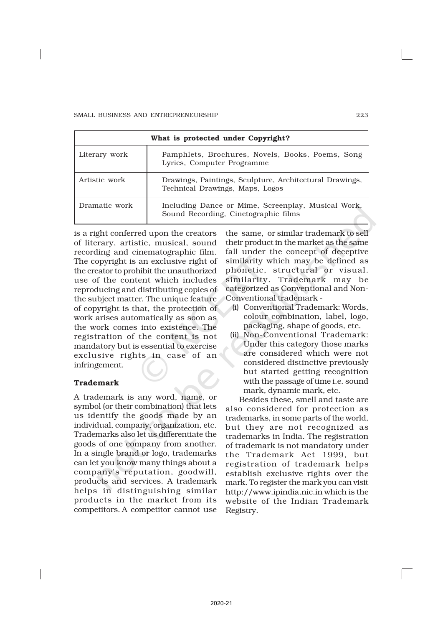| What is protected under Copyright? |                                                                                            |
|------------------------------------|--------------------------------------------------------------------------------------------|
| Literary work                      | Pamphlets, Brochures, Novels, Books, Poems, Song<br>Lyrics, Computer Programme             |
| Artistic work                      | Drawings, Paintings, Sculpture, Architectural Drawings,<br>Technical Drawings, Maps, Logos |
| Dramatic work                      | Including Dance or Mime, Screenplay, Musical Work,<br>Sound Recording, Cinetographic films |

is a right conferred upon the creators of literary, artistic, musical, sound recording and cinematographic film. The copyright is an exclusive right of the creator to prohibit the unauthorized use of the content which includes reproducing and distributing copies of the subject matter. The unique feature of copyright is that, the protection of work arises automatically as soon as the work comes into existence. The registration of the content is not mandatory but is essential to exercise exclusive rights in case of an infringement.

#### Trademark

A trademark is any word, name, or symbol (or their combination) that lets us identify the goods made by an individual, company, organization, etc. Trademarks also let us differentiate the goods of one company from another. In a single brand or logo, trademarks can let you know many things about a company's reputation, goodwill, products and services. A trademark helps in distinguishing similar products in the market from its competitors. A competitor cannot use

the same, or similar trademark to sell their product in the market as the same fall under the concept of deceptive similarity which may be defined as phonetic, structural or visual. similarity. Trademark may be categorized as Conventional and Non-Conventional trademark -

- (i) Conventional Trademark: Words, colour combination, label, logo, packaging, shape of goods, etc.
- (ii) Non-Conventional Trademark: Under this category those marks are considered which were not considered distinctive previously but started getting recognition with the passage of time i.e. sound mark, dynamic mark, etc.

Besides these, smell and taste are also considered for protection as trademarks, in some parts of the world, but they are not recognized as trademarks in India. The registration of trademark is not mandatory under the Trademark Act 1999, but registration of trademark helps establish exclusive rights over the mark. To register the mark you can visit http://www.ipindia.nic.in which is the website of the Indian Trademark Registry.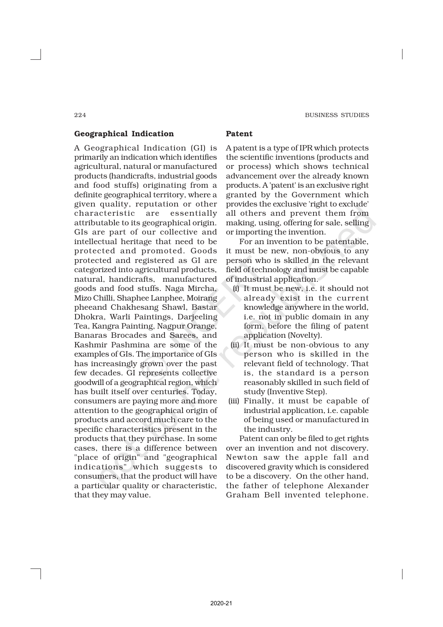#### Geographical Indication

A Geographical Indication (GI) is primarily an indication which identifies agricultural, natural or manufactured products (handicrafts, industrial goods and food stuffs) originating from a definite geographical territory, where a given quality, reputation or other characteristic are essentially attributable to its geographical origin. GIs are part of our collective and intellectual heritage that need to be protected and promoted. Goods protected and registered as GI are categorized into agricultural products, natural, handicrafts, manufactured goods and food stuffs. Naga Mircha, Mizo Chilli, Shaphee Lanphee, Moirang pheeand Chakhesang Shawl, Bastar Dhokra, Warli Paintings, Darjeeling Tea, Kangra Painting, Nagpur Orange, Banaras Brocades and Sarees, and Kashmir Pashmina are some of the examples of GIs. The importance of GIs has increasingly grown over the past few decades. GI represents collective goodwill of a geographical region, which has built itself over centuries. Today, consumers are paying more and more attention to the geographical origin of products and accord much care to the specific characteristics present in the products that they purchase. In some cases, there is a difference between "place of origin" and "geographical indications" which suggests to consumers, that the product will have a particular quality or characteristic, that they may value.

#### Patent

A patent is a type of IPR which protects the scientific inventions (products and or process) which shows technical advancement over the already known products. A 'patent' is an exclusive right granted by the Government which provides the exclusive 'right to exclude' all others and prevent them from making, using, offering for sale, selling or importing the invention.

For an invention to be patentable, it must be new, non-obvious to any person who is skilled in the relevant field of technology and must be capable of industrial application.

- (i) It must be new, i.e. it should not already exist in the current knowledge anywhere in the world, i.e. not in public domain in any form, before the filing of patent application (Novelty).
- (ii) It must be non-obvious to any person who is skilled in the relevant field of technology. That is, the standard is a person reasonably skilled in such field of study (Inventive Step).
- (iii) Finally, it must be capable of industrial application, i.e. capable of being used or manufactured in the industry.

Patent can only be filed to get rights over an invention and not discovery. Newton saw the apple fall and discovered gravity which is considered to be a discovery. On the other hand, the father of telephone Alexander Graham Bell invented telephone.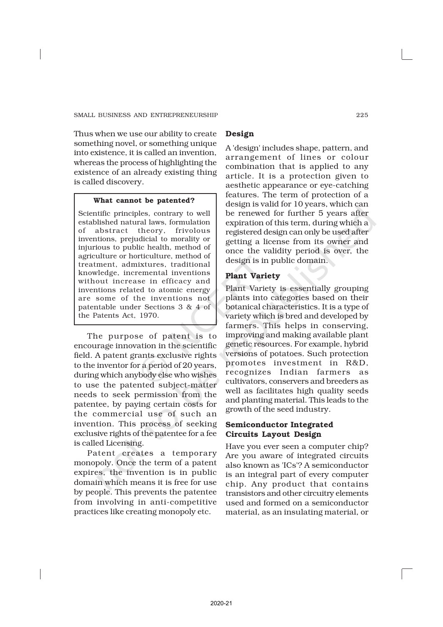Thus when we use our ability to create something novel, or something unique into existence, it is called an invention, whereas the process of highlighting the existence of an already existing thing is called discovery.

#### What cannot be patented?

Scientific principles, contrary to well established natural laws, formulation of abstract theory, frivolous inventions, prejudicial to morality or injurious to public health, method of agriculture or horticulture, method of treatment, admixtures, traditional knowledge, incremental inventions without increase in efficacy and inventions related to atomic energy are some of the inventions not patentable under Sections 3 & 4 of the Patents Act, 1970.

The purpose of patent is to encourage innovation in the scientific field. A patent grants exclusive rights to the inventor for a period of 20 years, during which anybody else who wishes to use the patented subject-matter needs to seek permission from the patentee, by paying certain costs for the commercial use of such an invention. This process of seeking exclusive rights of the patentee for a fee is called Licensing.

Patent creates a temporary monopoly. Once the term of a patent expires, the invention is in public domain which means it is free for use by people. This prevents the patentee from involving in anti-competitive practices like creating monopoly etc.

# Design

A 'design' includes shape, pattern, and arrangement of lines or colour combination that is applied to any article. It is a protection given to aesthetic appearance or eye-catching features. The term of protection of a design is valid for 10 years, which can be renewed for further 5 years after expiration of this term, during which a registered design can only be used after getting a license from its owner and once the validity period is over, the design is in public domain.

#### Plant Variety

Plant Variety is essentially grouping plants into categories based on their botanical characteristics. It is a type of variety which is bred and developed by farmers. This helps in conserving, improving and making available plant genetic resources. For example, hybrid versions of potatoes. Such protection promotes investment in R&D, recognizes Indian farmers as cultivators, conservers and breeders as well as facilitates high quality seeds and planting material. This leads to the growth of the seed industry.

# Semiconductor Integrated Circuits Layout Design

Have you ever seen a computer chip? Are you aware of integrated circuits also known as 'ICs'? A semiconductor is an integral part of every computer chip. Any product that contains transistors and other circuitry elements used and formed on a semiconductor material, as an insulating material, or

2020-21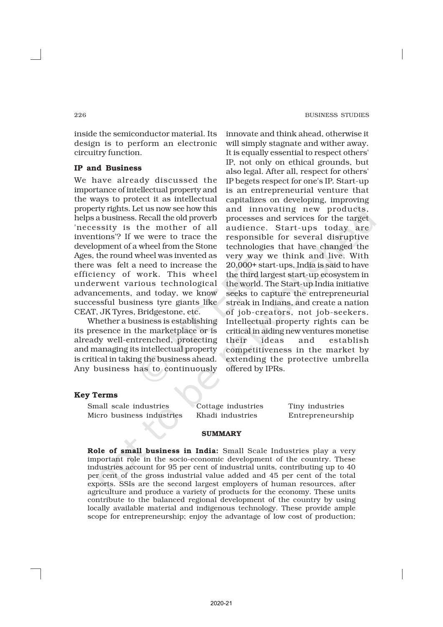inside the semiconductor material. Its design is to perform an electronic circuitry function.

#### IP and Business

We have already discussed the importance of intellectual property and the ways to protect it as intellectual property rights. Let us now see how this helps a business. Recall the old proverb 'necessity is the mother of all inventions'? If we were to trace the development of a wheel from the Stone Ages, the round wheel was invented as there was felt a need to increase the efficiency of work. This wheel underwent various technological advancements, and today, we know successful business tyre giants like CEAT, JK Tyres, Bridgestone, etc.

Whether a business is establishing its presence in the marketplace or is already well-entrenched, protecting and managing its intellectual property is critical in taking the business ahead. Any business has to continuously innovate and think ahead, otherwise it will simply stagnate and wither away. It is equally essential to respect others' IP, not only on ethical grounds, but also legal. After all, respect for others' IP begets respect for one's IP. Start-up is an entrepreneurial venture that capitalizes on developing, improving and innovating new products, processes and services for the target audience. Start-ups today are responsible for several disruptive technologies that have changed the very way we think and live. With 20,000+ start-ups, India is said to have the third largest start-up ecosystem in the world. The Start-up India initiative seeks to capture the entrepreneurial streak in Indians, and create a nation of job-creators, not job-seekers. Intellectual property rights can be critical in aiding new ventures monetise their ideas and establish competitiveness in the market by extending the protective umbrella offered by IPRs.

#### Key Terms

Small scale industries Cottage industries Tiny industries Micro business industries Khadi industries Entrepreneurship

#### **SUMMARY**

Role of small business in India: Small Scale Industries play a very important role in the socio-economic development of the country. These industries account for 95 per cent of industrial units, contributing up to 40 per cent of the gross industrial value added and 45 per cent of the total exports. SSIs are the second largest employers of human resources, after agriculture and produce a variety of products for the economy. These units contribute to the balanced regional development of the country by using locally available material and indigenous technology. These provide ample scope for entrepreneurship; enjoy the advantage of low cost of production;